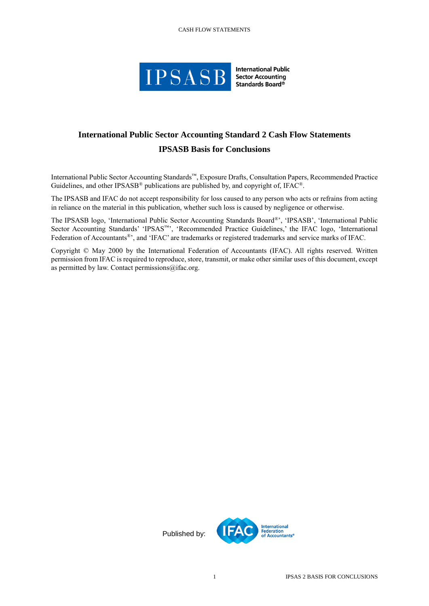## CASH FLOW STATEMENTS



**International Public Sector Accounting** Standards Board®

## **International Public Sector Accounting Standard 2 Cash Flow Statements IPSASB Basis for Conclusions**

International Public Sector Accounting Standards™, Exposure Drafts, Consultation Papers, Recommended Practice Guidelines, and other IPSASB<sup>®</sup> publications are published by, and copyright of, IFAC<sup>®</sup>.

The IPSASB and IFAC do not accept responsibility for loss caused to any person who acts or refrains from acting in reliance on the material in this publication, whether such loss is caused by negligence or otherwise.

The IPSASB logo, 'International Public Sector Accounting Standards Board®', 'IPSASB', 'International Public Sector Accounting Standards' 'IPSAS™', 'Recommended Practice Guidelines,' the IFAC logo, 'International Federation of Accountants®', and 'IFAC' are trademarks or registered trademarks and service marks of IFAC.

Copyright © May 2000 by the International Federation of Accountants (IFAC). All rights reserved. Written permission from IFAC is required to reproduce, store, transmit, or make other similar uses of this document, except as permitted by law. Contact permissions@ifac.org.

Published by: